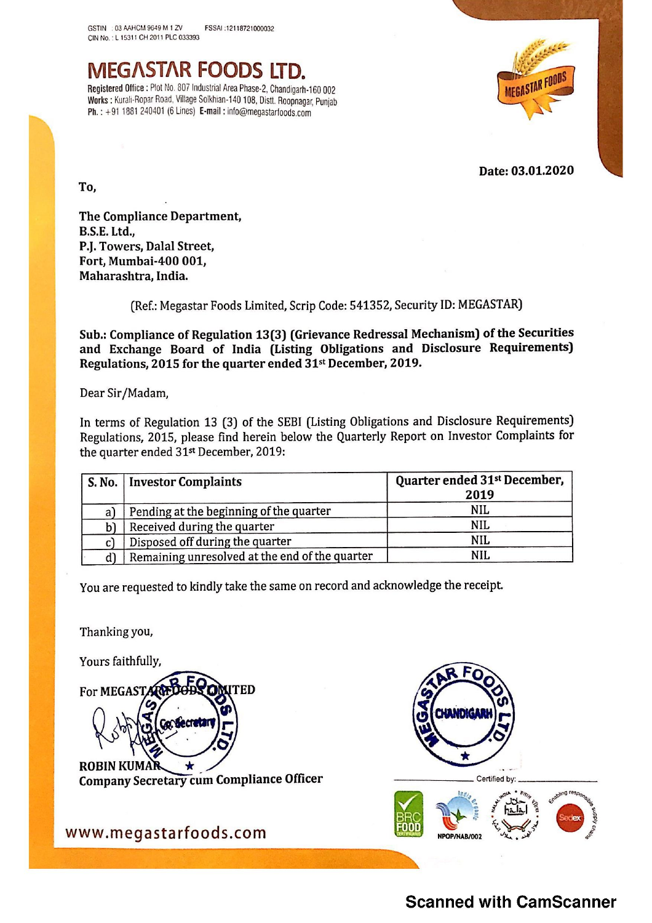

To,

In terms of Regulation 13 (3) of the SEBI (Listing Obligations and Disclosure Requirements) Regulations, 2015, please find herein below the Quarterly Report on Investor Complaints for the quarter ended 31st December, 2019: GSTIN : 03 AMICM 9649 M 1 ZV<br>
CIN No. 1 15311 CH 2011 PLC 033393<br>
CIN No. 1 15311 CH 2011 PLC 033393<br> **NEG ASTAR FOODS LTD.**<br>
Registered Office : Plot No. 807 Industrial Area Phase-2, Chandigarh-160 0<br>
Works : Kurall-Ropa GSINI : 03 AM-CM 969 M 1 2V<br>
CIN NO : L 15311 CH 2011 PLC 033983<br> **MEGASTAR FOODS LTD.**<br>
Negistered Office : Plat No. 807 Industrial Area Phase-2, Chandigarh-160<br>
Norks : Kurali-Figher Noad, Village Solkinan-140 108, Disti

|                     | MEGASTAR FOODS LTD.<br>Registered Office: Plot No. 807 Industrial Area Phase-2, Chandigarh-160 002<br>Works : Kurali-Ropar Road, Village Solkhian-140 108, Distt. Roopnagar, Punjab<br>Ph.: +91 1881 240401 (6 Lines) E-mail: info@megastarfoods.com | <b>MEGASTAR FOODS</b>                            |
|---------------------|------------------------------------------------------------------------------------------------------------------------------------------------------------------------------------------------------------------------------------------------------|--------------------------------------------------|
|                     |                                                                                                                                                                                                                                                      |                                                  |
|                     |                                                                                                                                                                                                                                                      | Date: 03.01.2020                                 |
| To,                 |                                                                                                                                                                                                                                                      |                                                  |
| <b>B.S.E. Ltd.,</b> | The Compliance Department,<br>P.J. Towers, Dalal Street,<br>Fort, Mumbai-400 001,<br>Maharashtra, India.                                                                                                                                             |                                                  |
|                     | (Ref.: Megastar Foods Limited, Scrip Code: 541352, Security ID: MEGASTAR)                                                                                                                                                                            |                                                  |
|                     | Sub.: Compliance of Regulation 13(3) (Grievance Redressal Mechanism) of the Securities<br>and Exchange Board of India (Listing Obligations and Disclosure Requirements)<br>Regulations, 2015 for the quarter ended 31 <sup>st</sup> December, 2019.  |                                                  |
|                     | Dear Sir/Madam,                                                                                                                                                                                                                                      |                                                  |
|                     | In terms of Regulation 13 (3) of the SEBI (Listing Obligations and Disclosure Requirements)<br>Regulations, 2015, please find herein below the Quarterly Report on Investor Complaints for<br>the quarter ended 31 <sup>st</sup> December, 2019:     |                                                  |
| S. No.              | <b>Investor Complaints</b>                                                                                                                                                                                                                           | Quarter ended 31 <sup>st</sup> December,<br>2019 |
| a)                  | Pending at the beginning of the quarter                                                                                                                                                                                                              | <b>NIL</b>                                       |
| b)                  | Received during the quarter                                                                                                                                                                                                                          | <b>NIL</b>                                       |
| c)                  | Disposed off during the quarter                                                                                                                                                                                                                      | <b>NIL</b>                                       |
| d)                  | Remaining unresolved at the end of the quarter                                                                                                                                                                                                       | <b>NIL</b>                                       |

You are requested to kindly take the same on record and acknowledge the receipt.

Thanking you,

Yours faithfully,

Thanking you, **TED** 

ROBIN KUMAR<br>Company Secret<br>WW.megast Company Secretary cum Compliance Officer





www.megastarfoods.com